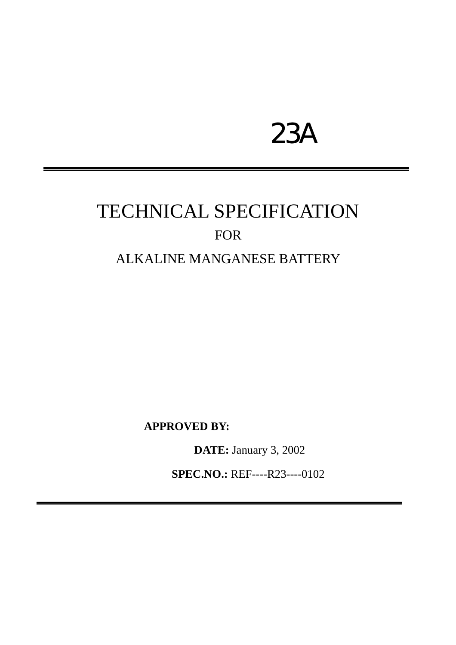# 23A

## TECHNICAL SPECIFICATION FOR

### ALKALINE MANGANESE BATTERY

**APPROVED BY:** 

**DATE:** January 3, 2002

**SPEC.NO.:** REF----R23----0102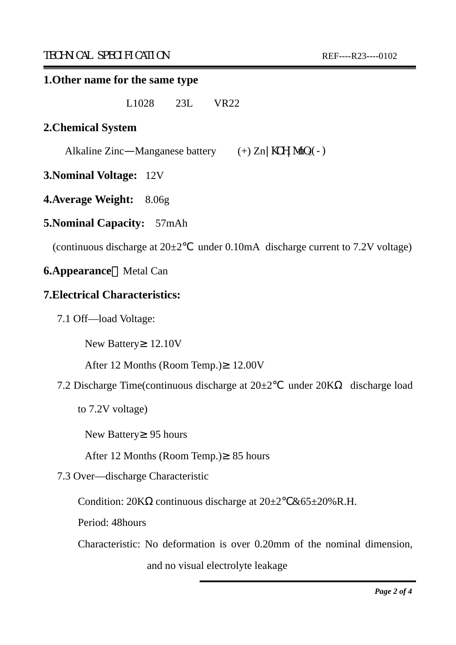| 1. Other name for the same type                                                   |
|-----------------------------------------------------------------------------------|
| L1028 23L<br><b>VR22</b>                                                          |
| <b>2. Chemical System</b>                                                         |
| Alkaline Zinc—Manganese battery $(+)$ Zn   KOH   MnO <sub>2</sub> (-)             |
| <b>3. Nominal Voltage:</b> 12V                                                    |
| <b>4. Average Weight:</b> 8.06g                                                   |
| <b>5. Nominal Capacity:</b> 57mAh                                                 |
| (continuous discharge at $20\pm2$ under 0.10mA discharge current to 7.2V voltage) |
| <b>6. Appearance</b> Metal Can                                                    |
| <b>7. Electrical Characteristics:</b>                                             |
| 7.1 Off—load Voltage:                                                             |
| New Battery 12.10V                                                                |
| After 12 Months (Room Temp.) 12.00V                                               |
| 7.2 Discharge Time(continuous discharge at $20\pm2$ under $20K$<br>discharge load |
| to 7.2V voltage)                                                                  |
| New Battery 95 hours                                                              |
| After 12 Months (Room Temp.) 85 hours                                             |
| 7.3 Over—discharge Characteristic                                                 |
| Condition: 20K continuous discharge at $20\pm2$ & $65\pm20\%$ R.H.                |
| Period: 48hours                                                                   |
| Characteristic: No deformation is over 0.20mm of the nominal dimension,           |
| and no visual electrolyte leakage                                                 |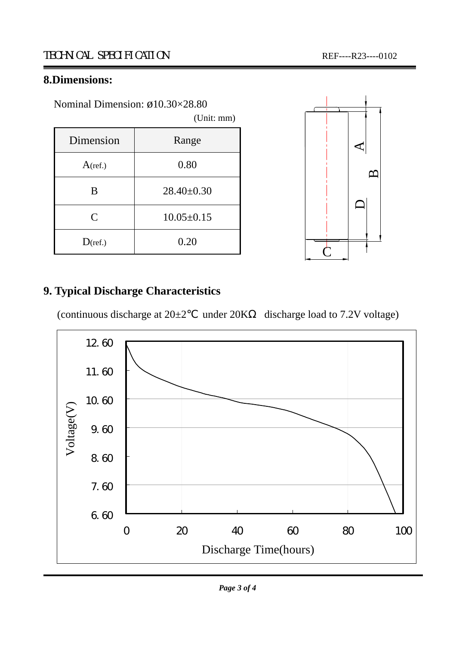#### **8.Dimensions:**

Nominal Dimension: ø10.30×28.80

|              | (Unit: mm)       |
|--------------|------------------|
| Dimension    | Range            |
| $A$ (ref.)   | 0.80             |
| B            | $28.40 \pm 0.30$ |
| $\mathsf{C}$ | $10.05 \pm 0.15$ |
| $D$ (ref.)   | 0.20             |



#### **9. Typical Discharge Characteristics**

(continuous discharge at  $20\pm2$  under  $20K$  discharge load to 7.2V voltage)